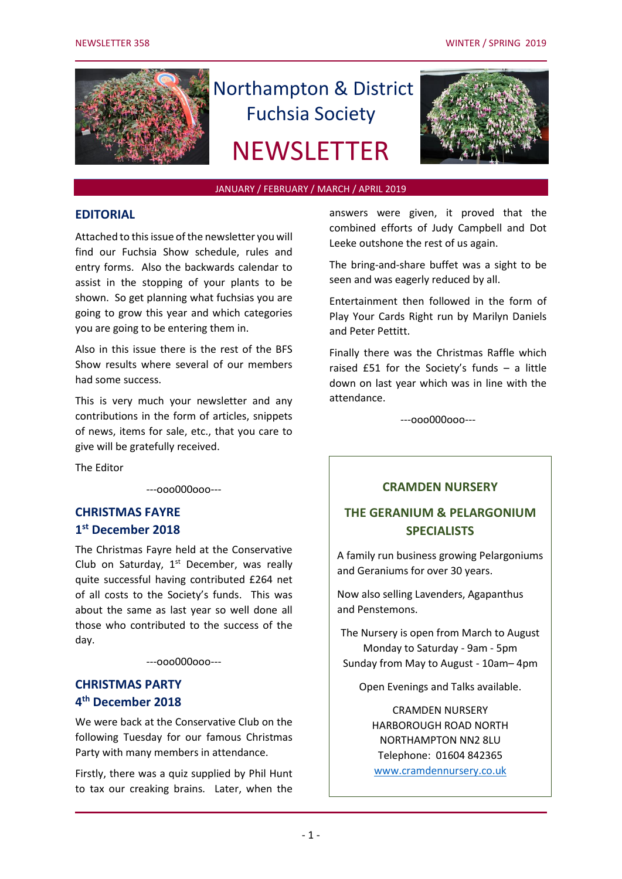

# Northampton & District Fuchsia Society **NEWSLETTER**



#### JANUARY / FEBRUARY / MARCH / APRIL 2019

#### **EDITORIAL**

Attached to this issue of the newsletter you will find our Fuchsia Show schedule, rules and entry forms. Also the backwards calendar to assist in the stopping of your plants to be shown. So get planning what fuchsias you are going to grow this year and which categories you are going to be entering them in.

Also in this issue there is the rest of the BFS Show results where several of our members had some success.

This is very much your newsletter and any contributions in the form of articles, snippets of news, items for sale, etc., that you care to give will be gratefully received.

The Editor

---ooo000ooo---

# **CHRISTMAS FAYRE 1 st December 2018**

The Christmas Fayre held at the Conservative Club on Saturday,  $1<sup>st</sup>$  December, was really quite successful having contributed £264 net of all costs to the Society's funds. This was about the same as last year so well done all those who contributed to the success of the day.

---ooo000ooo---

# **CHRISTMAS PARTY 4 th December 2018**

We were back at the Conservative Club on the following Tuesday for our famous Christmas Party with many members in attendance.

Firstly, there was a quiz supplied by Phil Hunt to tax our creaking brains. Later, when the

answers were given, it proved that the combined efforts of Judy Campbell and Dot Leeke outshone the rest of us again.

The bring-and-share buffet was a sight to be seen and was eagerly reduced by all.

Entertainment then followed in the form of Play Your Cards Right run by Marilyn Daniels and Peter Pettitt.

Finally there was the Christmas Raffle which raised £51 for the Society's funds – a little down on last year which was in line with the attendance.

---ooo000ooo---

#### **CRAMDEN NURSERY**

# **THE GERANIUM & PELARGONIUM SPECIALISTS**

A family run business growing Pelargoniums and Geraniums for over 30 years.

Now also selling Lavenders, Agapanthus and Penstemons.

The Nursery is open from March to August Monday to Saturday - 9am - 5pm Sunday from May to August - 10am– 4pm

Open Evenings and Talks available.

CRAMDEN NURSERY HARBOROUGH ROAD NORTH NORTHAMPTON NN2 8LU Telephone: 01604 842365 [www.cramdennursery.co.uk](http://www.cramdennursery.co.uk/)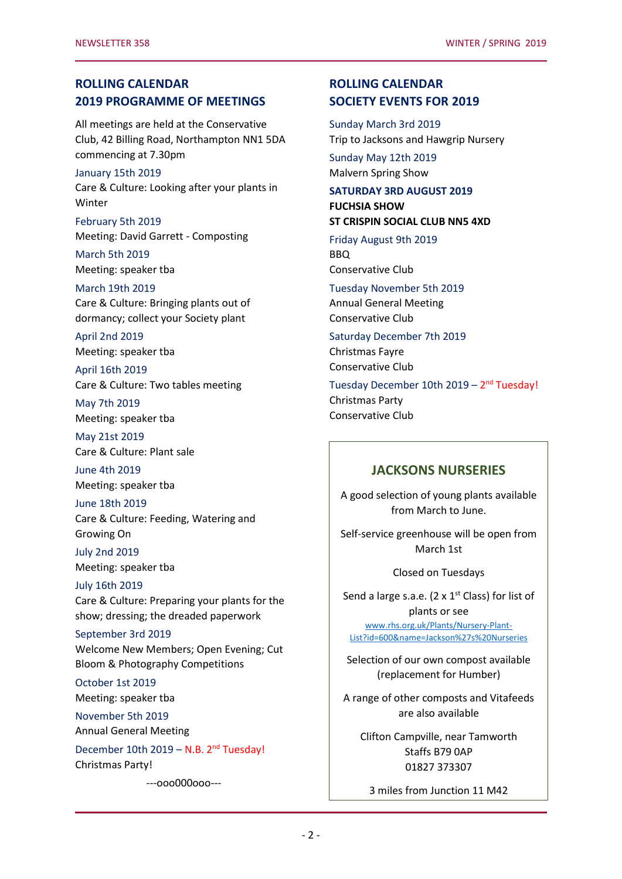## **ROLLING CALENDAR 2019 PROGRAMME OF MEETINGS**

All meetings are held at the Conservative Club, 42 Billing Road, Northampton NN1 5DA commencing at 7.30pm

#### January 15th 2019

Care & Culture: Looking after your plants in Winter

February 5th 2019 Meeting: David Garrett - Composting

March 5th 2019 Meeting: speaker tba

March 19th 2019 Care & Culture: Bringing plants out of dormancy; collect your Society plant

April 2nd 2019 Meeting: speaker tba

April 16th 2019 Care & Culture: Two tables meeting

May 7th 2019 Meeting: speaker tba

May 21st 2019 Care & Culture: Plant sale

June 4th 2019 Meeting: speaker tba

June 18th 2019 Care & Culture: Feeding, Watering and Growing On

July 2nd 2019 Meeting: speaker tba

July 16th 2019 Care & Culture: Preparing your plants for the show; dressing; the dreaded paperwork

# September 3rd 2019

Welcome New Members; Open Evening; Cut Bloom & Photography Competitions

October 1st 2019 Meeting: speaker tba

November 5th 2019

Annual General Meeting

December 10th 2019 - N.B. 2<sup>nd</sup> Tuesday! Christmas Party!

---ooo000ooo---

# **ROLLING CALENDAR SOCIETY EVENTS FOR 2019**

Sunday March 3rd 2019 Trip to Jacksons and Hawgrip Nursery

Sunday May 12th 2019 Malvern Spring Show

#### **SATURDAY 3RD AUGUST 2019 FUCHSIA SHOW ST CRISPIN SOCIAL CLUB NN5 4XD**

Friday August 9th 2019 BBQ Conservative Club

Tuesday November 5th 2019 Annual General Meeting Conservative Club

Saturday December 7th 2019 Christmas Fayre Conservative Club

Tuesday December 10th 2019 - 2<sup>nd</sup> Tuesday! Christmas Party Conservative Club

### **JACKSONS NURSERIES**

A good selection of young plants available from March to June.

Self-service greenhouse will be open from March 1st

Closed on Tuesdays

Send a large s.a.e. (2 x  $1^{st}$  Class) for list of plants or see [www.rhs.org.uk/Plants/Nursery-Plant-](file:///C:/Users/Peter/Documents/NDFS/www.rhs.org.uk/Plants/Nursery-Plant-List%3fid=600&name=Jackson)[List?id=600&name=Jackson%27s%20Nurseries](file:///C:/Users/Peter/Documents/NDFS/www.rhs.org.uk/Plants/Nursery-Plant-List%3fid=600&name=Jackson)

Selection of our own compost available (replacement for Humber)

A range of other composts and Vitafeeds are also available

Clifton Campville, near Tamworth Staffs B79 0AP 01827 373307

3 miles from Junction 11 M42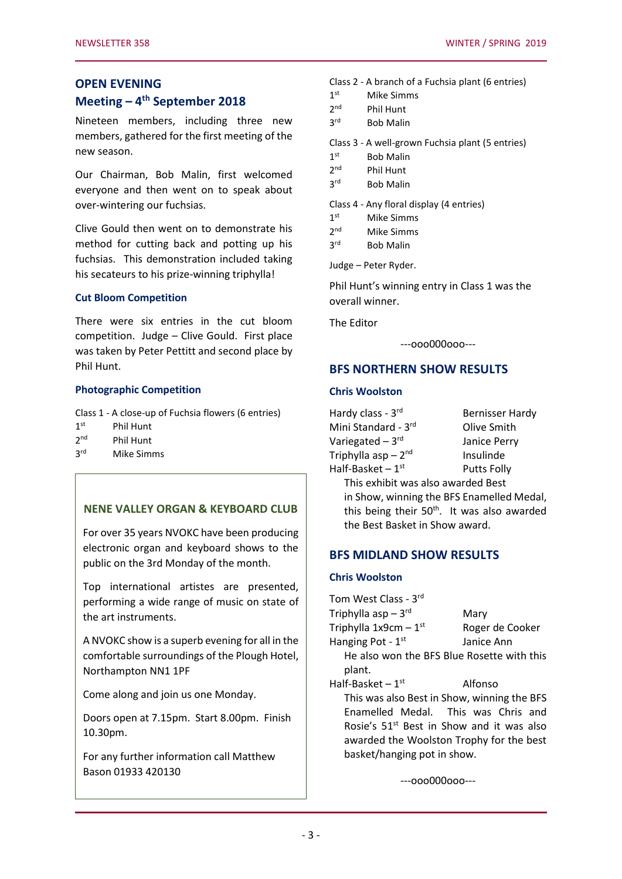#### **OPEN EVENING**

# **Meeting – 4 th September 2018**

Nineteen members, including three new members, gathered for the first meeting of the new season.

Our Chairman, Bob Malin, first welcomed everyone and then went on to speak about over-wintering our fuchsias.

Clive Gould then went on to demonstrate his method for cutting back and potting up his fuchsias. This demonstration included taking his secateurs to his prize-winning triphylla!

#### **Cut Bloom Competition**

There were six entries in the cut bloom competition. Judge – Clive Gould. First place was taken by Peter Pettitt and second place by Phil Hunt.

#### **Photographic Competition**

Class 1 - A close-up of Fuchsia flowers (6 entries)

- $1<sup>st</sup>$ Phil Hunt
- $2<sup>nd</sup>$ Phil Hunt
- **3rd** Mike Simms

### **NENE VALLEY ORGAN & KEYBOARD CLUB**

For over 35 years NVOKC have been producing electronic organ and keyboard shows to the public on the 3rd Monday of the month.

Top international artistes are presented, performing a wide range of music on state of the art instruments.

A NVOKC show is a superb evening for all in the comfortable surroundings of the Plough Hotel, Northampton NN1 1PF

Come along and join us one Monday.

Doors open at 7.15pm. Start 8.00pm. Finish 10.30pm.

For any further information call Matthew Bason 01933 420130

| Class 2 - A branch of a Fuchsia plant (6 entries) |  |  |  |  |
|---------------------------------------------------|--|--|--|--|
|---------------------------------------------------|--|--|--|--|

| Mike Simms |
|------------|

| 2 <sup>nd</sup> | <b>Phil Hunt</b> |
|-----------------|------------------|
|                 |                  |

**3rd Bob Malin** 

Class 3 - A well-grown Fuchsia plant (5 entries)

- $1<sup>st</sup>$ **Bob Malin**
- $2<sub>nd</sub>$ Phil Hunt
- $3<sup>rd</sup>$ **Bob Malin**

Class 4 - Any floral display (4 entries)

| 1 <sup>st</sup> | Mike Simms |
|-----------------|------------|
|                 |            |

 $3<sup>rd</sup>$ **Bob Malin** 

Judge – Peter Ryder.

Phil Hunt's winning entry in Class 1 was the overall winner.

The Editor

---ooo000ooo---

#### **BFS NORTHERN SHOW RESULTS**

#### **Chris Woolston**

| Hardy class - 3rd                  | <b>Bernisser Hardy</b>                                  |
|------------------------------------|---------------------------------------------------------|
| Mini Standard - 3rd                | Olive Smith                                             |
| Variegated - 3rd                   | Janice Perry                                            |
| Triphylla asp - 2nd                | Insulinde                                               |
| Half-Basket $-1$ <sup>st</sup>     | <b>Putts Folly</b>                                      |
| This exhibit was also awarded Best |                                                         |
|                                    | the Chemical continuing the Line Construction of Monday |

in Show, winning the BFS Enamelled Medal, this being their 50<sup>th</sup>. It was also awarded the Best Basket in Show award.

#### **BFS MIDLAND SHOW RESULTS**

#### **Chris Woolston**

Tom West Class - 3rd Triphylla  $asp-3^{rd}$ Mary Triphylla  $1x9cm - 1<sup>st</sup>$ Roger de Cooker Hanging Pot -  $1<sup>st</sup>$ Janice Ann He also won the BFS Blue Rosette with this plant. Half-Basket  $-1$ <sup>st</sup> Alfonso

This was also Best in Show, winning the BFS Enamelled Medal. This was Chris and Rosie's 51st Best in Show and it was also awarded the Woolston Trophy for the best basket/hanging pot in show.

---ooo000ooo---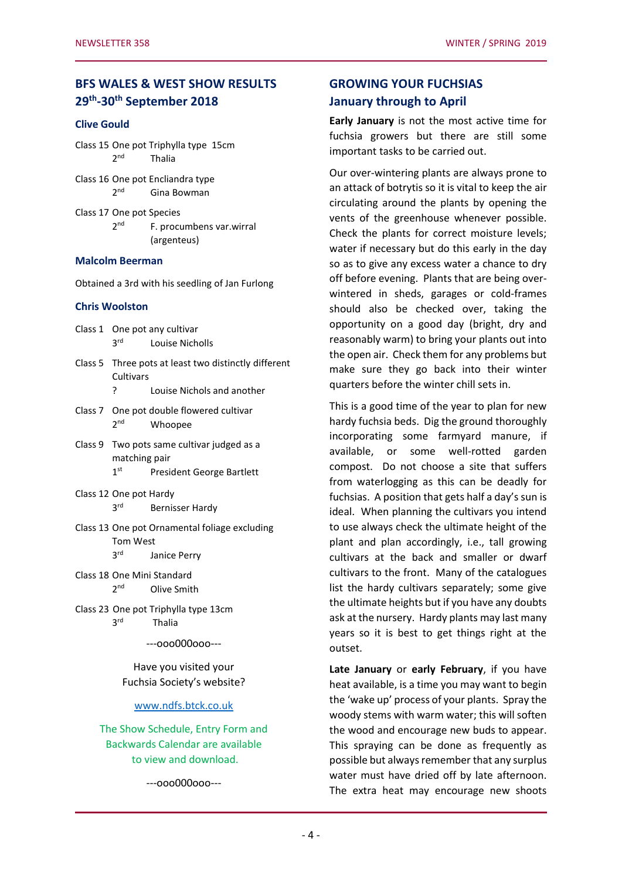# **BFS WALES & WEST SHOW RESULTS 29th -30th September 2018**

#### **Clive Gould**

Class 15 One pot Triphylla type 15cm  $2<sub>nd</sub>$ Thalia

- Class 16 One pot Encliandra type  $2<sub>nd</sub>$ Gina Bowman
- Class 17 One pot Species  $2<sub>nd</sub>$ F. procumbens var.wirral (argenteus)

#### **Malcolm Beerman**

Obtained a 3rd with his seedling of Jan Furlong

#### **Chris Woolston**

Class 1 One pot any cultivar 3rd Louise Nicholls

- Class 5 Three pots at least two distinctly different **Cultivars** ? Louise Nichols and another
- Class 7 One pot double flowered cultivar  $2<sup>nd</sup>$ Whoopee
- Class 9 Two pots same cultivar judged as a matching pair
	- $1<sup>st</sup>$ President George Bartlett
- Class 12 One pot Hardy 3rd Bernisser Hardy
- Class 13 One pot Ornamental foliage excluding Tom West 3rd Janice Perry
- Class 18 One Mini Standard  $2<sup>nd</sup>$ **Olive Smith**
- Class 23 One pot Triphylla type 13cm **3rd** Thalia

---ooo000ooo---

Have you visited your Fuchsia Society's website?

#### [www.ndfs.btck.co.uk](http://www.ndfs.btck.co.uk/)

The Show Schedule, Entry Form and Backwards Calendar are available to view and download.

---ooo000ooo---

# **GROWING YOUR FUCHSIAS January through to April**

**Early January** is not the most active time for fuchsia growers but there are still some important tasks to be carried out.

Our over-wintering plants are always prone to an attack of botrytis so it is vital to keep the air circulating around the plants by opening the vents of the greenhouse whenever possible. Check the plants for correct moisture levels; water if necessary but do this early in the day so as to give any excess water a chance to dry off before evening. Plants that are being overwintered in sheds, garages or cold-frames should also be checked over, taking the opportunity on a good day (bright, dry and reasonably warm) to bring your plants out into the open air. Check them for any problems but make sure they go back into their winter quarters before the winter chill sets in.

This is a good time of the year to plan for new hardy fuchsia beds. Dig the ground thoroughly incorporating some farmyard manure, if available, or some well-rotted garden compost. Do not choose a site that suffers from waterlogging as this can be deadly for fuchsias. A position that gets half a day's sun is ideal. When planning the cultivars you intend to use always check the ultimate height of the plant and plan accordingly, i.e., tall growing cultivars at the back and smaller or dwarf cultivars to the front. Many of the catalogues list the hardy cultivars separately; some give the ultimate heights but if you have any doubts ask at the nursery. Hardy plants may last many years so it is best to get things right at the outset.

**Late January** or **early February**, if you have heat available, is a time you may want to begin the 'wake up' process of your plants. Spray the woody stems with warm water; this will soften the wood and encourage new buds to appear. This spraying can be done as frequently as possible but always remember that any surplus water must have dried off by late afternoon. The extra heat may encourage new shoots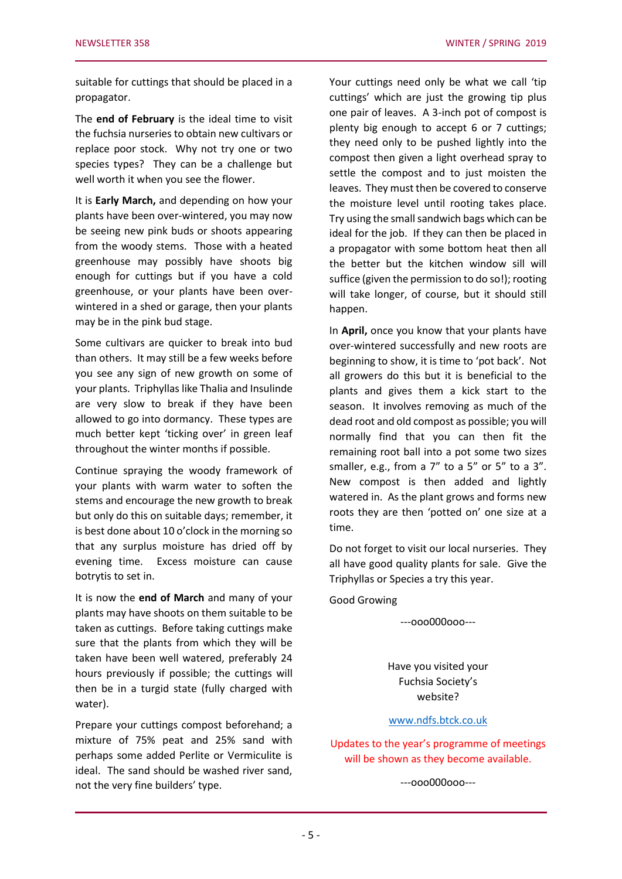suitable for cuttings that should be placed in a propagator.

The **end of February** is the ideal time to visit the fuchsia nurseries to obtain new cultivars or replace poor stock. Why not try one or two species types? They can be a challenge but well worth it when you see the flower.

It is **Early March,** and depending on how your plants have been over-wintered, you may now be seeing new pink buds or shoots appearing from the woody stems. Those with a heated greenhouse may possibly have shoots big enough for cuttings but if you have a cold greenhouse, or your plants have been overwintered in a shed or garage, then your plants may be in the pink bud stage.

Some cultivars are quicker to break into bud than others. It may still be a few weeks before you see any sign of new growth on some of your plants. Triphyllas like Thalia and Insulinde are very slow to break if they have been allowed to go into dormancy. These types are much better kept 'ticking over' in green leaf throughout the winter months if possible.

Continue spraying the woody framework of your plants with warm water to soften the stems and encourage the new growth to break but only do this on suitable days; remember, it is best done about 10 o'clock in the morning so that any surplus moisture has dried off by evening time. Excess moisture can cause botrytis to set in.

It is now the **end of March** and many of your plants may have shoots on them suitable to be taken as cuttings. Before taking cuttings make sure that the plants from which they will be taken have been well watered, preferably 24 hours previously if possible; the cuttings will then be in a turgid state (fully charged with water).

Prepare your cuttings compost beforehand; a mixture of 75% peat and 25% sand with perhaps some added Perlite or Vermiculite is ideal. The sand should be washed river sand, not the very fine builders' type.

Your cuttings need only be what we call 'tip cuttings' which are just the growing tip plus one pair of leaves. A 3-inch pot of compost is plenty big enough to accept 6 or 7 cuttings; they need only to be pushed lightly into the compost then given a light overhead spray to settle the compost and to just moisten the leaves. They must then be covered to conserve the moisture level until rooting takes place. Try using the small sandwich bags which can be ideal for the job. If they can then be placed in a propagator with some bottom heat then all the better but the kitchen window sill will suffice (given the permission to do so!); rooting will take longer, of course, but it should still happen.

In **April,** once you know that your plants have over-wintered successfully and new roots are beginning to show, it is time to 'pot back'. Not all growers do this but it is beneficial to the plants and gives them a kick start to the season. It involves removing as much of the dead root and old compost as possible; you will normally find that you can then fit the remaining root ball into a pot some two sizes smaller, e.g., from a 7" to a 5" or 5" to a 3". New compost is then added and lightly watered in. As the plant grows and forms new roots they are then 'potted on' one size at a time.

Do not forget to visit our local nurseries. They all have good quality plants for sale. Give the Triphyllas or Species a try this year.

Good Growing

---ooo000ooo---

Have you visited your Fuchsia Society's website?

#### [www.ndfs.btck.co.uk](http://www.ndfs.btck.co.uk/)

Updates to the year's programme of meetings will be shown as they become available.

---ooo000ooo---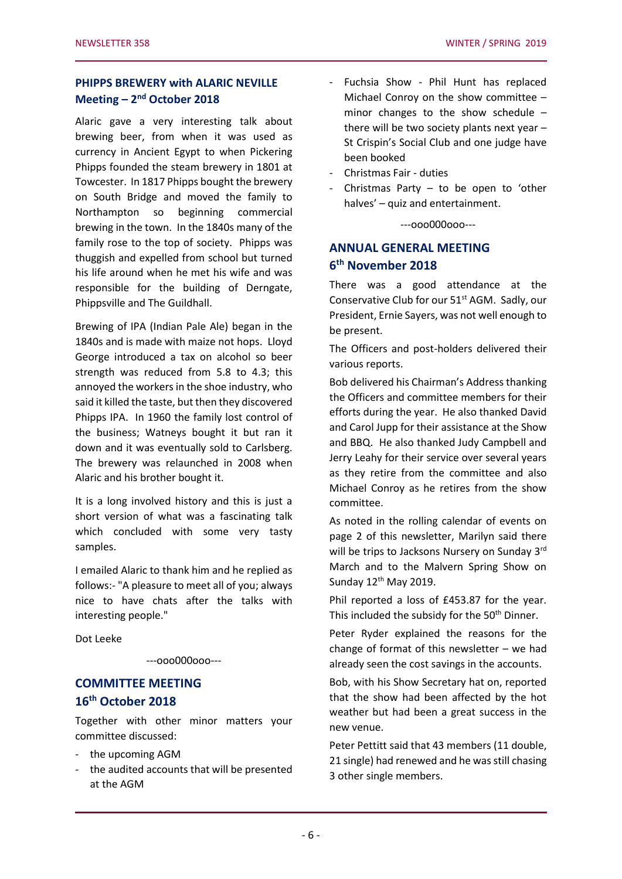# **PHIPPS BREWERY with ALARIC NEVILLE Meeting – 2 nd October 2018**

Alaric gave a very interesting talk about brewing beer, from when it was used as currency in Ancient Egypt to when Pickering Phipps founded the steam brewery in 1801 at Towcester. In 1817 Phipps bought the brewery on South Bridge and moved the family to Northampton so beginning commercial brewing in the town. In the 1840s many of the family rose to the top of society. Phipps was thuggish and expelled from school but turned his life around when he met his wife and was responsible for the building of Derngate, Phippsville and The Guildhall.

Brewing of IPA (Indian Pale Ale) began in the 1840s and is made with maize not hops. Lloyd George introduced a tax on alcohol so beer strength was reduced from 5.8 to 4.3; this annoyed the workers in the shoe industry, who said it killed the taste, but then they discovered Phipps IPA. In 1960 the family lost control of the business; Watneys bought it but ran it down and it was eventually sold to Carlsberg. The brewery was relaunched in 2008 when Alaric and his brother bought it.

It is a long involved history and this is just a short version of what was a fascinating talk which concluded with some very tasty samples.

I emailed Alaric to thank him and he replied as follows:- "A pleasure to meet all of you; always nice to have chats after the talks with interesting people."

Dot Leeke

#### ---ooo000ooo---

# **COMMITTEE MEETING 16th October 2018**

Together with other minor matters your committee discussed:

- the upcoming AGM
- the audited accounts that will be presented at the AGM
- Fuchsia Show Phil Hunt has replaced Michael Conroy on the show committee – minor changes to the show schedule – there will be two society plants next year – St Crispin's Social Club and one judge have been booked
- Christmas Fair duties
- Christmas Party  $-$  to be open to 'other halves' – quiz and entertainment.

---ooo000ooo---

# **ANNUAL GENERAL MEETING 6 th November 2018**

There was a good attendance at the Conservative Club for our 51<sup>st</sup> AGM. Sadly, our President, Ernie Sayers, was not well enough to be present.

The Officers and post-holders delivered their various reports.

Bob delivered his Chairman's Address thanking the Officers and committee members for their efforts during the year. He also thanked David and Carol Jupp for their assistance at the Show and BBQ. He also thanked Judy Campbell and Jerry Leahy for their service over several years as they retire from the committee and also Michael Conroy as he retires from the show committee.

As noted in the rolling calendar of events on page 2 of this newsletter, Marilyn said there will be trips to Jacksons Nursery on Sunday 3rd March and to the Malvern Spring Show on Sunday  $12<sup>th</sup>$  May 2019.

Phil reported a loss of £453.87 for the year. This included the subsidy for the 50<sup>th</sup> Dinner.

Peter Ryder explained the reasons for the change of format of this newsletter – we had already seen the cost savings in the accounts.

Bob, with his Show Secretary hat on, reported that the show had been affected by the hot weather but had been a great success in the new venue.

Peter Pettitt said that 43 members (11 double, 21 single) had renewed and he was still chasing 3 other single members.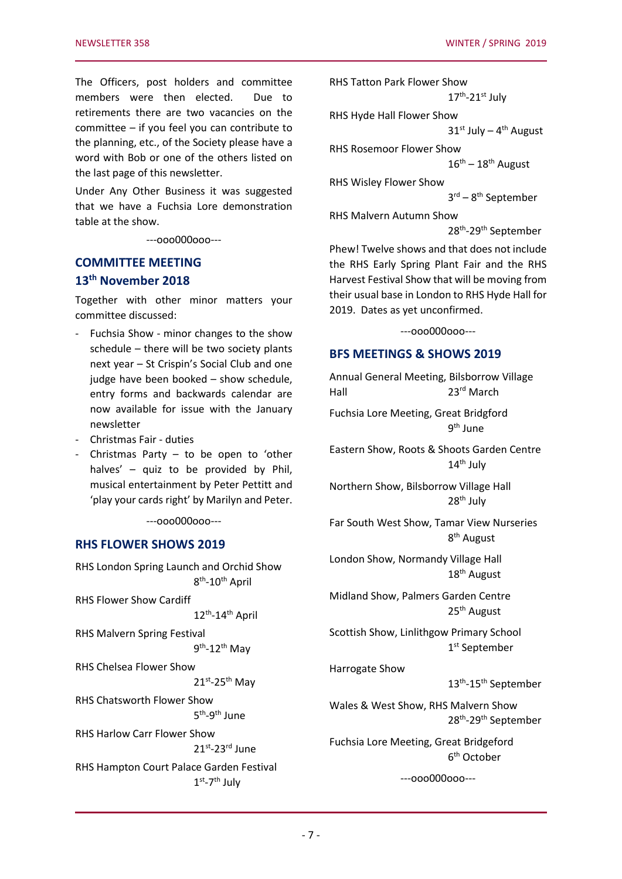The Officers, post holders and committee members were then elected. Due to retirements there are two vacancies on the committee – if you feel you can contribute to the planning, etc., of the Society please have a word with Bob or one of the others listed on the last page of this newsletter.

Under Any Other Business it was suggested that we have a Fuchsia Lore demonstration table at the show.

---ooo000ooo---

# **COMMITTEE MEETING 13th November 2018**

Together with other minor matters your committee discussed:

- Fuchsia Show minor changes to the show schedule – there will be two society plants next year – St Crispin's Social Club and one judge have been booked – show schedule, entry forms and backwards calendar are now available for issue with the January newsletter
- Christmas Fair duties
- Christmas Party to be open to 'other halves' – quiz to be provided by Phil, musical entertainment by Peter Pettitt and 'play your cards right' by Marilyn and Peter.

---ooo000ooo---

#### **RHS FLOWER SHOWS 2019**

| RHS London Spring Launch and Orchid Show | 8 <sup>th</sup> -10 <sup>th</sup> April |  |
|------------------------------------------|-----------------------------------------|--|
| RHS Flower Show Cardiff                  |                                         |  |
|                                          | $12^{th}$ -14 <sup>th</sup> April       |  |
| RHS Malvern Spring Festival              |                                         |  |
|                                          | $9th - 12th$ May                        |  |
| RHS Chelsea Flower Show                  |                                         |  |
|                                          | $21^{st}$ -25 <sup>th</sup> May         |  |
| RHS Chatsworth Flower Show               |                                         |  |
|                                          | 5 <sup>th</sup> -9 <sup>th</sup> lune   |  |
| RHS Harlow Carr Flower Show              |                                         |  |
|                                          | 21st <sub>-23rd</sub> lune              |  |
| RHS Hampton Court Palace Garden Festival | $1st - 7th$ July                        |  |

RHS Tatton Park Flower Show 17<sup>th</sup>-21st July RHS Hyde Hall Flower Show  $31<sup>st</sup>$  July –  $4<sup>th</sup>$  August RHS Rosemoor Flower Show  $16^{\text{th}} - 18^{\text{th}}$  August RHS Wisley Flower Show 3 rd – 8 th September RHS Malvern Autumn Show

28<sup>th</sup>-29<sup>th</sup> September

Phew! Twelve shows and that does not include the RHS Early Spring Plant Fair and the RHS Harvest Festival Show that will be moving from their usual base in London to RHS Hyde Hall for 2019. Dates as yet unconfirmed.

---ooo000ooo---

#### **BFS MEETINGS & SHOWS 2019**

Annual General Meeting, Bilsborrow Village Hall 23<sup>rd</sup> March

Fuchsia Lore Meeting, Great Bridgford 9<sup>th</sup> June

Eastern Show, Roots & Shoots Garden Centre 14<sup>th</sup> July

Northern Show, Bilsborrow Village Hall 28<sup>th</sup> July

Far South West Show, Tamar View Nurseries 8<sup>th</sup> August

London Show, Normandy Village Hall 18th August

Midland Show, Palmers Garden Centre 25th August

Scottish Show, Linlithgow Primary School 1 st September

Harrogate Show

13<sup>th</sup>-15<sup>th</sup> September

Wales & West Show, RHS Malvern Show 28<sup>th</sup>-29<sup>th</sup> September

Fuchsia Lore Meeting, Great Bridgeford 6 th October

---ooo000ooo---